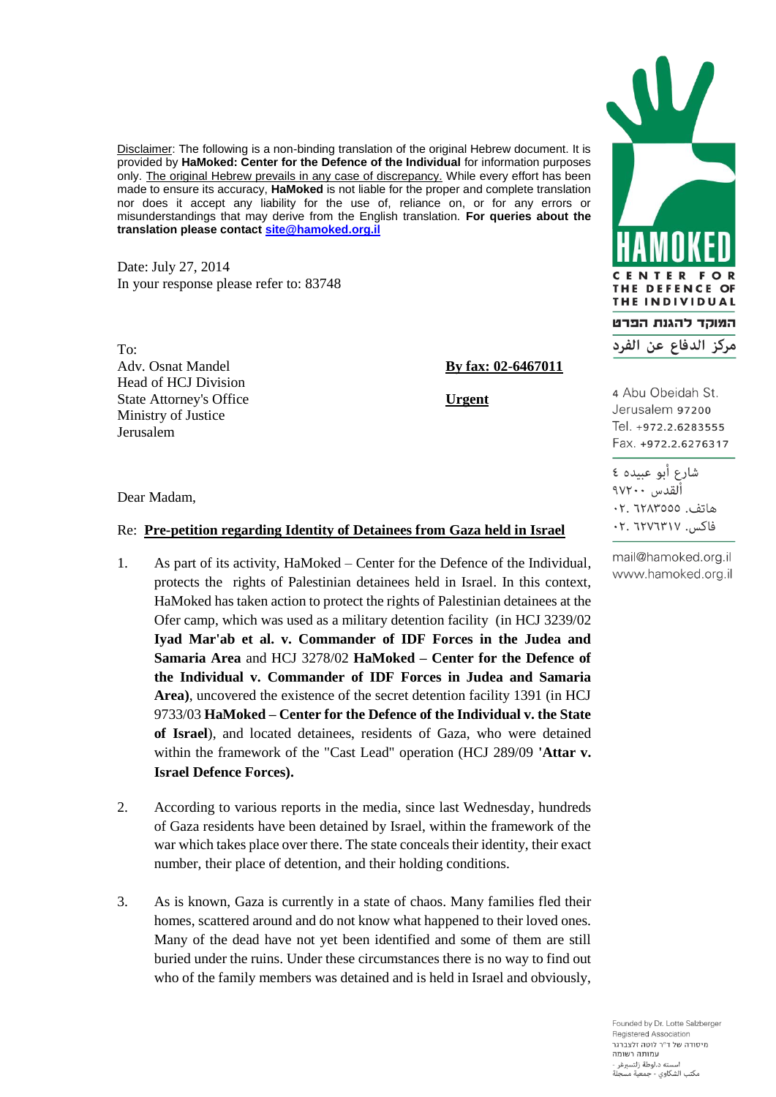Disclaimer: The following is a non-binding translation of the original Hebrew document. It is provided by **HaMoked: Center for the Defence of the Individual** for information purposes only. The original Hebrew prevails in any case of discrepancy. While every effort has been made to ensure its accuracy, **HaMoked** is not liable for the proper and complete translation nor does it accept any liability for the use of, reliance on, or for any errors or misunderstandings that may derive from the English translation. **For queries about the translation please contac[t site@hamoked.org.il](mailto:site@hamoked.org.il)**

Date: July 27, 2014 In your response please refer to: 83748

To: Adv. Osnat Mandel **By fax: 02-6467011** Head of HCJ Division State Attorney's Office **Urgent** Ministry of Justice Jerusalem

Dear Madam,

## Re: **Pre-petition regarding Identity of Detainees from Gaza held in Israel**

- 1. As part of its activity, HaMoked Center for the Defence of the Individual, protects the rights of Palestinian detainees held in Israel. In this context, HaMoked has taken action to protect the rights of Palestinian detainees at the Ofer camp, which was used as a military detention facility (in HCJ 3239/02 **Iyad Mar'ab et al. v. Commander of IDF Forces in the Judea and Samaria Area** and HCJ 3278/02 **HaMoked – Center for the Defence of the Individual v. Commander of IDF Forces in Judea and Samaria Area)**, uncovered the existence of the secret detention facility 1391 (in HCJ 9733/03 **HaMoked – Center for the Defence of the Individual v. the State of Israel**), and located detainees, residents of Gaza, who were detained within the framework of the "Cast Lead" operation (HCJ 289/09 **'Attar v. Israel Defence Forces).**
- 2. According to various reports in the media, since last Wednesday, hundreds of Gaza residents have been detained by Israel, within the framework of the war which takes place over there. The state conceals their identity, their exact number, their place of detention, and their holding conditions.
- 3. As is known, Gaza is currently in a state of chaos. Many families fled their homes, scattered around and do not know what happened to their loved ones. Many of the dead have not yet been identified and some of them are still buried under the ruins. Under these circumstances there is no way to find out who of the family members was detained and is held in Israel and obviously,

E R  $\mathbf{o}$ THE DEFENCE OF THE INDIVIDUAL המוקד להגנת הפרט مركز الدفاع عن الفرد

4 Abu Obeidah St. Jerusalem 97200 Tel. +972.2.6283555 Fax. +972.2.6276317

شارع أبو عبيده ٤ ألقدس ٢٠٠٧٠ هاتف. ٦٢٨٣٥٥٥. فاكس. ٦٢٧٦٣١٧. ٢٠

mail@hamoked.org.il www.hamoked.org.il

Founded by Dr. Lotte Salzberger Registered Association תיסודה של ד"ר לוטה זלצררגר .<br>עמותה רשומה لته د.لوطة زلتسبرغر مكتب الشكاوي - حمعية مسحلة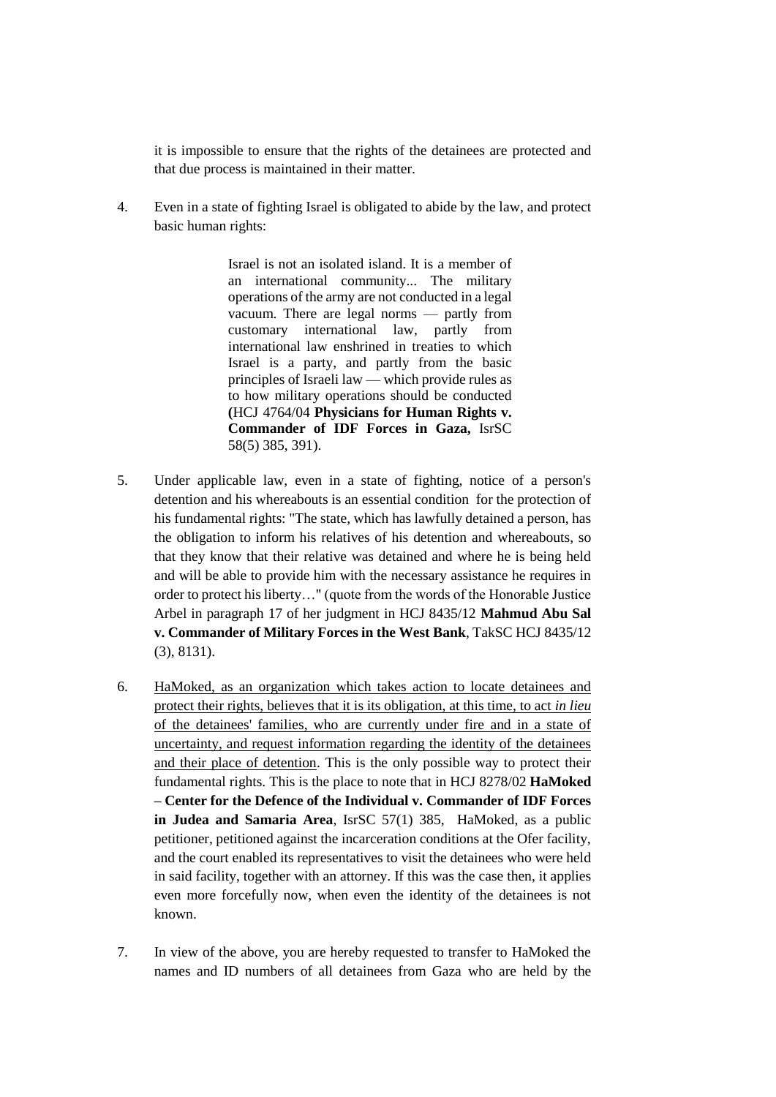it is impossible to ensure that the rights of the detainees are protected and that due process is maintained in their matter.

4. Even in a state of fighting Israel is obligated to abide by the law, and protect basic human rights:

> Israel is not an isolated island. It is a member of an international community... The military operations of the army are not conducted in a legal vacuum. There are legal norms — partly from customary international law, partly from international law enshrined in treaties to which Israel is a party, and partly from the basic principles of Israeli law — which provide rules as to how military operations should be conducted **(**HCJ 4764/04 **Physicians for Human Rights v. Commander of IDF Forces in Gaza,** IsrSC 58(5) 385, 391).

- 5. Under applicable law, even in a state of fighting, notice of a person's detention and his whereabouts is an essential condition for the protection of his fundamental rights: "The state, which has lawfully detained a person, has the obligation to inform his relatives of his detention and whereabouts, so that they know that their relative was detained and where he is being held and will be able to provide him with the necessary assistance he requires in order to protect his liberty…" (quote from the words of the Honorable Justice Arbel in paragraph 17 of her judgment in HCJ 8435/12 **Mahmud Abu Sal v. Commander of Military Forces in the West Bank**, TakSC HCJ 8435/12 (3), 8131).
- 6. HaMoked, as an organization which takes action to locate detainees and protect their rights, believes that it is its obligation, at this time, to act *in lieu* of the detainees' families, who are currently under fire and in a state of uncertainty, and request information regarding the identity of the detainees and their place of detention. This is the only possible way to protect their fundamental rights. This is the place to note that in HCJ 8278/02 **HaMoked – Center for the Defence of the Individual v. Commander of IDF Forces in Judea and Samaria Area**, IsrSC 57(1) 385, HaMoked, as a public petitioner, petitioned against the incarceration conditions at the Ofer facility, and the court enabled its representatives to visit the detainees who were held in said facility, together with an attorney. If this was the case then, it applies even more forcefully now, when even the identity of the detainees is not known.
- 7. In view of the above, you are hereby requested to transfer to HaMoked the names and ID numbers of all detainees from Gaza who are held by the